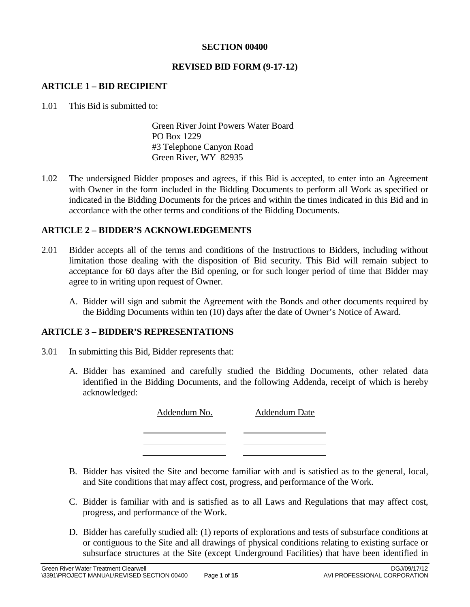### **SECTION 00400**

### **REVISED BID FORM (9-17-12)**

### **ARTICLE 1 – BID RECIPIENT**

1.01 This Bid is submitted to:

Green River Joint Powers Water Board PO Box 1229 #3 Telephone Canyon Road Green River, WY 82935

1.02 The undersigned Bidder proposes and agrees, if this Bid is accepted, to enter into an Agreement with Owner in the form included in the Bidding Documents to perform all Work as specified or indicated in the Bidding Documents for the prices and within the times indicated in this Bid and in accordance with the other terms and conditions of the Bidding Documents.

## **ARTICLE 2 – BIDDER'S ACKNOWLEDGEMENTS**

- 2.01 Bidder accepts all of the terms and conditions of the Instructions to Bidders, including without limitation those dealing with the disposition of Bid security. This Bid will remain subject to acceptance for 60 days after the Bid opening, or for such longer period of time that Bidder may agree to in writing upon request of Owner.
	- A. Bidder will sign and submit the Agreement with the Bonds and other documents required by the Bidding Documents within ten (10) days after the date of Owner's Notice of Award.

### **ARTICLE 3 – BIDDER'S REPRESENTATIONS**

- 3.01 In submitting this Bid, Bidder represents that:
	- A. Bidder has examined and carefully studied the Bidding Documents, other related data identified in the Bidding Documents, and the following Addenda, receipt of which is hereby acknowledged:

Addendum No. Addendum Date

- B. Bidder has visited the Site and become familiar with and is satisfied as to the general, local, and Site conditions that may affect cost, progress, and performance of the Work.
- C. Bidder is familiar with and is satisfied as to all Laws and Regulations that may affect cost, progress, and performance of the Work.
- D. Bidder has carefully studied all: (1) reports of explorations and tests of subsurface conditions at or contiguous to the Site and all drawings of physical conditions relating to existing surface or subsurface structures at the Site (except Underground Facilities) that have been identified in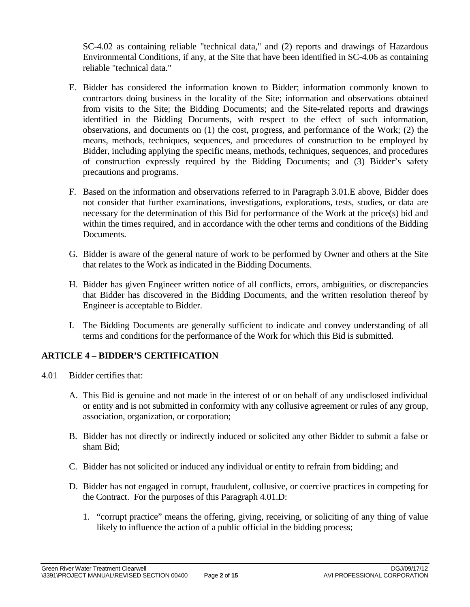SC-4.02 as containing reliable "technical data," and (2) reports and drawings of Hazardous Environmental Conditions, if any, at the Site that have been identified in SC-4.06 as containing reliable "technical data."

- E. Bidder has considered the information known to Bidder; information commonly known to contractors doing business in the locality of the Site; information and observations obtained from visits to the Site; the Bidding Documents; and the Site-related reports and drawings identified in the Bidding Documents, with respect to the effect of such information, observations, and documents on (1) the cost, progress, and performance of the Work; (2) the means, methods, techniques, sequences, and procedures of construction to be employed by Bidder, including applying the specific means, methods, techniques, sequences, and procedures of construction expressly required by the Bidding Documents; and (3) Bidder's safety precautions and programs.
- F. Based on the information and observations referred to in Paragraph 3.01.E above, Bidder does not consider that further examinations, investigations, explorations, tests, studies, or data are necessary for the determination of this Bid for performance of the Work at the price(s) bid and within the times required, and in accordance with the other terms and conditions of the Bidding Documents.
- G. Bidder is aware of the general nature of work to be performed by Owner and others at the Site that relates to the Work as indicated in the Bidding Documents.
- H. Bidder has given Engineer written notice of all conflicts, errors, ambiguities, or discrepancies that Bidder has discovered in the Bidding Documents, and the written resolution thereof by Engineer is acceptable to Bidder.
- I. The Bidding Documents are generally sufficient to indicate and convey understanding of all terms and conditions for the performance of the Work for which this Bid is submitted.

# **ARTICLE 4 – BIDDER'S CERTIFICATION**

- 4.01 Bidder certifies that:
	- A. This Bid is genuine and not made in the interest of or on behalf of any undisclosed individual or entity and is not submitted in conformity with any collusive agreement or rules of any group, association, organization, or corporation;
	- B. Bidder has not directly or indirectly induced or solicited any other Bidder to submit a false or sham Bid;
	- C. Bidder has not solicited or induced any individual or entity to refrain from bidding; and
	- D. Bidder has not engaged in corrupt, fraudulent, collusive, or coercive practices in competing for the Contract. For the purposes of this Paragraph 4.01.D:
		- 1. "corrupt practice" means the offering, giving, receiving, or soliciting of any thing of value likely to influence the action of a public official in the bidding process;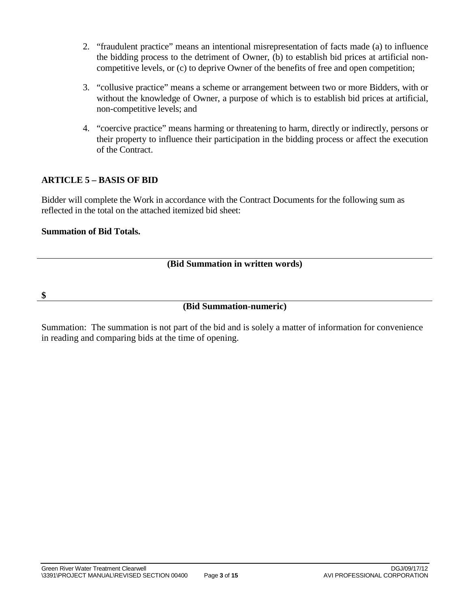- 2. "fraudulent practice" means an intentional misrepresentation of facts made (a) to influence the bidding process to the detriment of Owner, (b) to establish bid prices at artificial noncompetitive levels, or (c) to deprive Owner of the benefits of free and open competition;
- 3. "collusive practice" means a scheme or arrangement between two or more Bidders, with or without the knowledge of Owner, a purpose of which is to establish bid prices at artificial, non-competitive levels; and
- 4. "coercive practice" means harming or threatening to harm, directly or indirectly, persons or their property to influence their participation in the bidding process or affect the execution of the Contract.

# **ARTICLE 5 – BASIS OF BID**

Bidder will complete the Work in accordance with the Contract Documents for the following sum as reflected in the total on the attached itemized bid sheet:

## **Summation of Bid Totals.**

# **(Bid Summation in written words)**

**\$**

# **(Bid Summation-numeric)**

Summation: The summation is not part of the bid and is solely a matter of information for convenience in reading and comparing bids at the time of opening.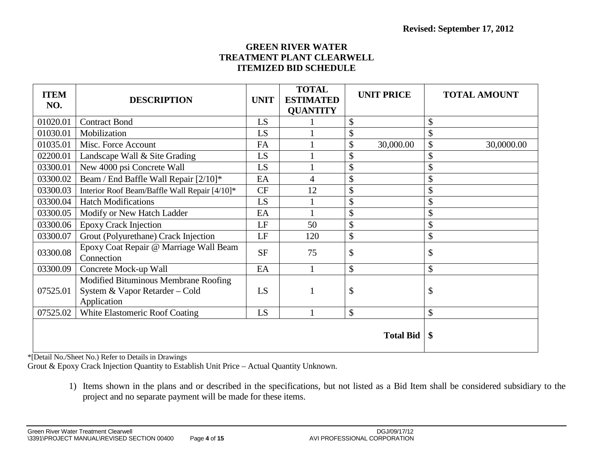## **GREEN RIVER WATER TREATMENT PLANT CLEARWELL ITEMIZED BID SCHEDULE**

| <b>ITEM</b><br>NO. | <b>DESCRIPTION</b>                                                                    | <b>UNIT</b> | <b>TOTAL</b><br><b>ESTIMATED</b><br><b>QUANTITY</b> | <b>UNIT PRICE</b> | <b>TOTAL AMOUNT</b> |
|--------------------|---------------------------------------------------------------------------------------|-------------|-----------------------------------------------------|-------------------|---------------------|
| 01020.01           | <b>Contract Bond</b>                                                                  | LS          |                                                     | \$                | \$                  |
| 01030.01           | Mobilization                                                                          | LS          |                                                     | \$                | \$                  |
| 01035.01           | Misc. Force Account                                                                   | FA          |                                                     | \$<br>30,000.00   | \$<br>30,0000.00    |
| 02200.01           | Landscape Wall & Site Grading                                                         | LS          |                                                     | \$                | \$                  |
| 03300.01           | New 4000 psi Concrete Wall                                                            | LS          |                                                     | \$                | \$                  |
| 03300.02           | Beam / End Baffle Wall Repair [2/10]*                                                 | EA          | 4                                                   | \$                | \$                  |
| 03300.03           | Interior Roof Beam/Baffle Wall Repair [4/10]*                                         | <b>CF</b>   | 12                                                  | \$                | \$                  |
| 03300.04           | <b>Hatch Modifications</b>                                                            | LS          |                                                     | \$                | \$                  |
| 03300.05           | Modify or New Hatch Ladder                                                            | EA          |                                                     | \$                | \$                  |
| 03300.06           | <b>Epoxy Crack Injection</b>                                                          | LF          | 50                                                  | \$                | \$                  |
| 03300.07           | Grout (Polyurethane) Crack Injection                                                  | LF          | 120                                                 | \$                | \$                  |
| 03300.08           | Epoxy Coat Repair @ Marriage Wall Beam<br>Connection                                  | <b>SF</b>   | 75                                                  | \$                | \$                  |
| 03300.09           | Concrete Mock-up Wall                                                                 | EA          |                                                     | \$                | \$                  |
| 07525.01           | Modified Bituminous Membrane Roofing<br>System & Vapor Retarder - Cold<br>Application | LS          |                                                     | \$                | \$                  |
| 07525.02           | White Elastomeric Roof Coating                                                        | LS          |                                                     | \$                | \$                  |
|                    |                                                                                       |             |                                                     | <b>Total Bid</b>  | \$                  |

\*[Detail No./Sheet No.) Refer to Details in Drawings

Grout & Epoxy Crack Injection Quantity to Establish Unit Price – Actual Quantity Unknown.

1) Items shown in the plans and or described in the specifications, but not listed as a Bid Item shall be considered subsidiary to the project and no separate payment will be made for these items.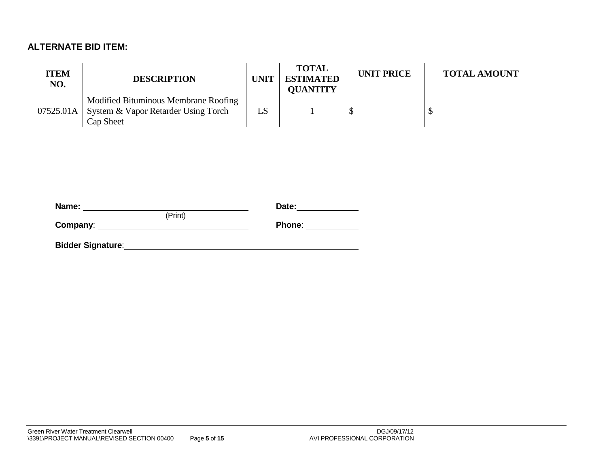# **ALTERNATE BID ITEM:**

| <b>ITEM</b><br>NO. | <b>DESCRIPTION</b>                                                                                   | <b>UNIT</b> | <b>TOTAL</b><br><b>ESTIMATED</b><br><b>OUANTITY</b> | <b>UNIT PRICE</b> | <b>TOTAL AMOUNT</b> |
|--------------------|------------------------------------------------------------------------------------------------------|-------------|-----------------------------------------------------|-------------------|---------------------|
|                    | Modified Bituminous Membrane Roofing<br>07525.01A   System & Vapor Retarder Using Torch<br>Cap Sheet | LS          |                                                     |                   |                     |

| Name:                    |         | Date:  |
|--------------------------|---------|--------|
|                          | (Print) |        |
| Company:                 |         | Phone: |
|                          |         |        |
| <b>Bidder Signature:</b> |         |        |
|                          |         |        |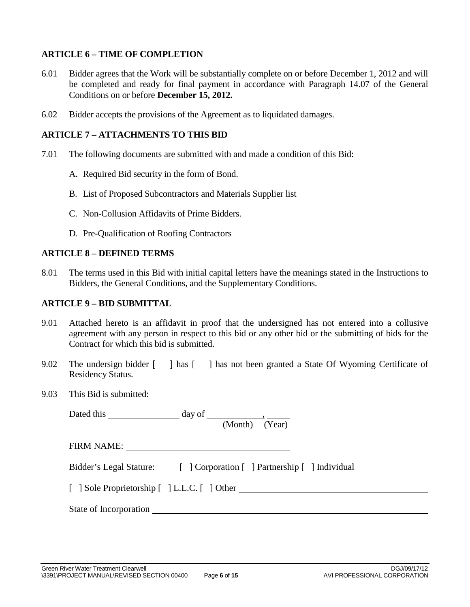# **ARTICLE 6 – TIME OF COMPLETION**

- 6.01 Bidder agrees that the Work will be substantially complete on or before December 1, 2012 and will be completed and ready for final payment in accordance with Paragraph 14.07 of the General Conditions on or before **December 15, 2012.**
- 6.02 Bidder accepts the provisions of the Agreement as to liquidated damages.

## **ARTICLE 7 – ATTACHMENTS TO THIS BID**

- 7.01 The following documents are submitted with and made a condition of this Bid:
	- A. Required Bid security in the form of Bond.
	- B. List of Proposed Subcontractors and Materials Supplier list
	- C. Non-Collusion Affidavits of Prime Bidders.
	- D. Pre-Qualification of Roofing Contractors

### **ARTICLE 8 – DEFINED TERMS**

8.01 The terms used in this Bid with initial capital letters have the meanings stated in the Instructions to Bidders, the General Conditions, and the Supplementary Conditions.

### **ARTICLE 9 – BID SUBMITTAL**

- 9.01 Attached hereto is an affidavit in proof that the undersigned has not entered into a collusive agreement with any person in respect to this bid or any other bid or the submitting of bids for the Contract for which this bid is submitted.
- 9.02 The undersign bidder [ ] has  $\lceil \cdot \rceil$  has not been granted a State Of Wyoming Certificate of Residency Status.
- 9.03 This Bid is submitted:

| Dated this new set of the set of the set of the set of the set of the set of the set of the set of the set of the set of the set of the set of the set of the set of the set of the set of the set of the set of the set of th | day of                                                                 |
|--------------------------------------------------------------------------------------------------------------------------------------------------------------------------------------------------------------------------------|------------------------------------------------------------------------|
|                                                                                                                                                                                                                                | (Month) (Year)                                                         |
| FIRM NAME:                                                                                                                                                                                                                     |                                                                        |
|                                                                                                                                                                                                                                | Bidder's Legal Stature: [ ] Corporation [ ] Partnership [ ] Individual |
|                                                                                                                                                                                                                                | [ ] Sole Proprietorship [ ] L.L.C. [ ] Other                           |
|                                                                                                                                                                                                                                | State of Incorporation                                                 |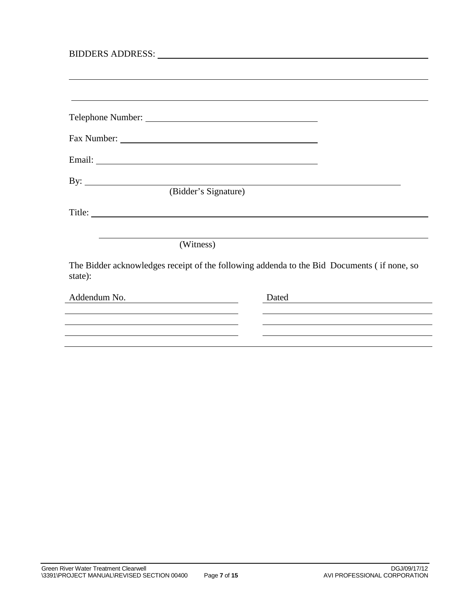| By: $\overline{\phantom{a}}$                                                                                                                                                                                                  |                                                                                            |
|-------------------------------------------------------------------------------------------------------------------------------------------------------------------------------------------------------------------------------|--------------------------------------------------------------------------------------------|
| (Bidder's Signature)                                                                                                                                                                                                          |                                                                                            |
|                                                                                                                                                                                                                               |                                                                                            |
|                                                                                                                                                                                                                               |                                                                                            |
| (Witness)                                                                                                                                                                                                                     |                                                                                            |
| state):                                                                                                                                                                                                                       | The Bidder acknowledges receipt of the following addenda to the Bid Documents (if none, so |
| Addendum No.                                                                                                                                                                                                                  | Dated                                                                                      |
|                                                                                                                                                                                                                               |                                                                                            |
|                                                                                                                                                                                                                               |                                                                                            |
| the control of the control of the control of the control of the control of the control of the control of the control of the control of the control of the control of the control of the control of the control of the control |                                                                                            |
|                                                                                                                                                                                                                               |                                                                                            |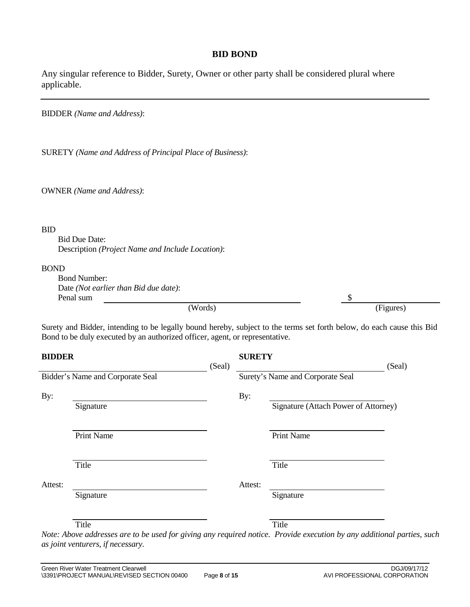## **BID BOND**

Any singular reference to Bidder, Surety, Owner or other party shall be considered plural where applicable.

BIDDER *(Name and Address)*:

SURETY *(Name and Address of Principal Place of Business)*:

OWNER *(Name and Address)*:

#### BID

Bid Due Date: Description *(Project Name and Include Location)*:

#### BOND

| <b>Bond Number:</b><br>Date (Not earlier than Bid due date): |           |
|--------------------------------------------------------------|-----------|
| Penal sum                                                    |           |
| (Words)                                                      | (Figures) |

Surety and Bidder, intending to be legally bound hereby, subject to the terms set forth below, do each cause this Bid Bond to be duly executed by an authorized officer, agent, or representative.

| <b>BIDDER</b> |                                                                                                                                                                                                                                                                                                                                  | (Seal) | <b>SURETY</b>           |                                                                                                     | (Seal)                                                           |
|---------------|----------------------------------------------------------------------------------------------------------------------------------------------------------------------------------------------------------------------------------------------------------------------------------------------------------------------------------|--------|-------------------------|-----------------------------------------------------------------------------------------------------|------------------------------------------------------------------|
|               | Bidder's Name and Corporate Seal                                                                                                                                                                                                                                                                                                 |        |                         | Surety's Name and Corporate Seal                                                                    |                                                                  |
| By:           | Signature                                                                                                                                                                                                                                                                                                                        |        | By:                     | Signature (Attach Power of Attorney)                                                                |                                                                  |
|               | <b>Print Name</b>                                                                                                                                                                                                                                                                                                                |        |                         | <b>Print Name</b>                                                                                   |                                                                  |
|               | Title                                                                                                                                                                                                                                                                                                                            |        |                         | Title                                                                                               |                                                                  |
| Attest:       | Signature                                                                                                                                                                                                                                                                                                                        |        | Attest:                 | Signature                                                                                           |                                                                  |
| $\mathbf{r}$  | Title<br>$\mathbf{z}$ , $\mathbf{z}$ , $\mathbf{z}$ , $\mathbf{z}$ , $\mathbf{z}$ , $\mathbf{z}$ , $\mathbf{z}$ , $\mathbf{z}$ , $\mathbf{z}$ , $\mathbf{z}$ , $\mathbf{z}$ , $\mathbf{z}$ , $\mathbf{z}$ , $\mathbf{z}$ , $\mathbf{z}$ , $\mathbf{z}$ , $\mathbf{z}$ , $\mathbf{z}$ , $\mathbf{z}$ , $\mathbf{z}$ ,<br>$\cdots$ |        | $\cdot$ $\cdot$ $\cdot$ | Title<br>$\mathbf{r}$ $\mathbf{r}$ $\mathbf{r}$ $\mathbf{r}$ $\mathbf{r}$ $\mathbf{r}$ $\mathbf{r}$ | $\mathbf{v}$ $\mathbf{v}$ $\mathbf{v}$ $\mathbf{v}$ $\mathbf{v}$ |

*Note: Above addresses are to be used for giving any required notice. Provide execution by any additional parties, such as joint venturers, if necessary.*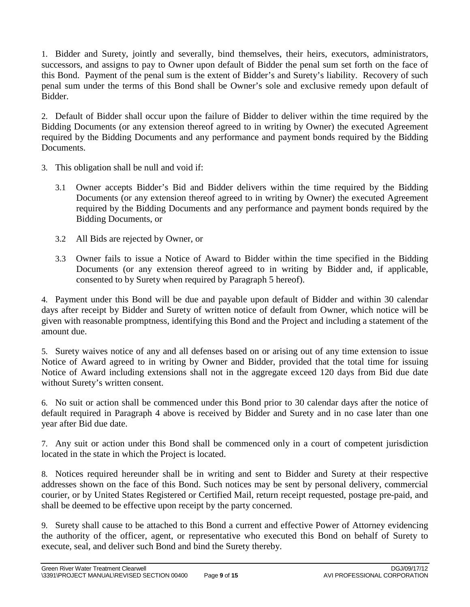1. Bidder and Surety, jointly and severally, bind themselves, their heirs, executors, administrators, successors, and assigns to pay to Owner upon default of Bidder the penal sum set forth on the face of this Bond. Payment of the penal sum is the extent of Bidder's and Surety's liability. Recovery of such penal sum under the terms of this Bond shall be Owner's sole and exclusive remedy upon default of Bidder.

2. Default of Bidder shall occur upon the failure of Bidder to deliver within the time required by the Bidding Documents (or any extension thereof agreed to in writing by Owner) the executed Agreement required by the Bidding Documents and any performance and payment bonds required by the Bidding Documents.

- 3. This obligation shall be null and void if:
	- 3.1 Owner accepts Bidder's Bid and Bidder delivers within the time required by the Bidding Documents (or any extension thereof agreed to in writing by Owner) the executed Agreement required by the Bidding Documents and any performance and payment bonds required by the Bidding Documents, or
	- 3.2 All Bids are rejected by Owner, or
	- 3.3 Owner fails to issue a Notice of Award to Bidder within the time specified in the Bidding Documents (or any extension thereof agreed to in writing by Bidder and, if applicable, consented to by Surety when required by Paragraph 5 hereof).

4. Payment under this Bond will be due and payable upon default of Bidder and within 30 calendar days after receipt by Bidder and Surety of written notice of default from Owner, which notice will be given with reasonable promptness, identifying this Bond and the Project and including a statement of the amount due.

5. Surety waives notice of any and all defenses based on or arising out of any time extension to issue Notice of Award agreed to in writing by Owner and Bidder, provided that the total time for issuing Notice of Award including extensions shall not in the aggregate exceed 120 days from Bid due date without Surety's written consent.

6. No suit or action shall be commenced under this Bond prior to 30 calendar days after the notice of default required in Paragraph 4 above is received by Bidder and Surety and in no case later than one year after Bid due date.

7. Any suit or action under this Bond shall be commenced only in a court of competent jurisdiction located in the state in which the Project is located.

8. Notices required hereunder shall be in writing and sent to Bidder and Surety at their respective addresses shown on the face of this Bond. Such notices may be sent by personal delivery, commercial courier, or by United States Registered or Certified Mail, return receipt requested, postage pre-paid, and shall be deemed to be effective upon receipt by the party concerned.

9. Surety shall cause to be attached to this Bond a current and effective Power of Attorney evidencing the authority of the officer, agent, or representative who executed this Bond on behalf of Surety to execute, seal, and deliver such Bond and bind the Surety thereby.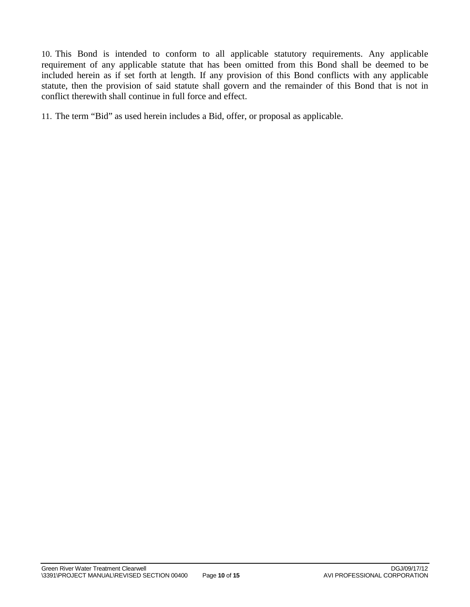10. This Bond is intended to conform to all applicable statutory requirements. Any applicable requirement of any applicable statute that has been omitted from this Bond shall be deemed to be included herein as if set forth at length. If any provision of this Bond conflicts with any applicable statute, then the provision of said statute shall govern and the remainder of this Bond that is not in conflict therewith shall continue in full force and effect.

11. The term "Bid" as used herein includes a Bid, offer, or proposal as applicable.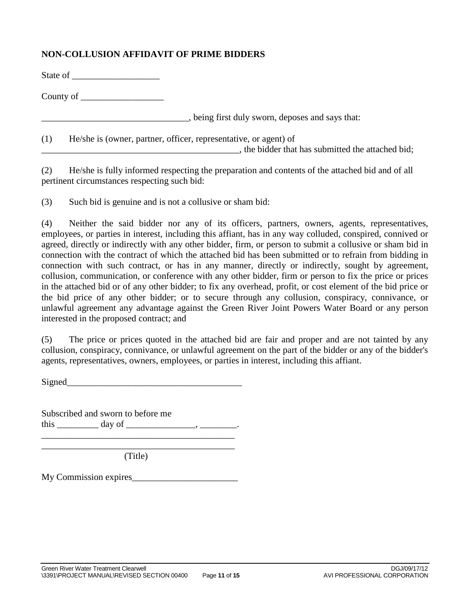# **NON-COLLUSION AFFIDAVIT OF PRIME BIDDERS**

| State of |
|----------|
|----------|

County of

 $\frac{1}{2}$ , being first duly sworn, deposes and says that:

(1) He/she is (owner, partner, officer, representative, or agent) of

The bidder that has submitted the attached bid;

(2) He/she is fully informed respecting the preparation and contents of the attached bid and of all pertinent circumstances respecting such bid:

(3) Such bid is genuine and is not a collusive or sham bid:

(4) Neither the said bidder nor any of its officers, partners, owners, agents, representatives, employees, or parties in interest, including this affiant, has in any way colluded, conspired, connived or agreed, directly or indirectly with any other bidder, firm, or person to submit a collusive or sham bid in connection with the contract of which the attached bid has been submitted or to refrain from bidding in connection with such contract, or has in any manner, directly or indirectly, sought by agreement, collusion, communication, or conference with any other bidder, firm or person to fix the price or prices in the attached bid or of any other bidder; to fix any overhead, profit, or cost element of the bid price or the bid price of any other bidder; or to secure through any collusion, conspiracy, connivance, or unlawful agreement any advantage against the Green River Joint Powers Water Board or any person interested in the proposed contract; and

(5) The price or prices quoted in the attached bid are fair and proper and are not tainted by any collusion, conspiracy, connivance, or unlawful agreement on the part of the bidder or any of the bidder's agents, representatives, owners, employees, or parties in interest, including this affiant.

Signed\_\_\_\_\_\_\_\_\_\_\_\_\_\_\_\_\_\_\_\_\_\_\_\_\_\_\_\_\_\_\_\_\_\_\_\_\_\_

Subscribed and sworn to before me this  $\_\_\_\_\_\_\_\_\$  day of  $\_\_\_\_\_\_\_\_\_\_\_\.\_$ \_\_\_\_\_\_\_\_\_\_\_\_\_\_\_\_\_\_\_\_\_\_\_\_\_\_\_\_\_\_\_\_\_\_\_\_\_\_\_\_\_\_

\_\_\_\_\_\_\_\_\_\_\_\_\_\_\_\_\_\_\_\_\_\_\_\_\_\_\_\_\_\_\_\_\_\_\_\_\_\_\_\_\_\_ (Title)

My Commission expires\_\_\_\_\_\_\_\_\_\_\_\_\_\_\_\_\_\_\_\_\_\_\_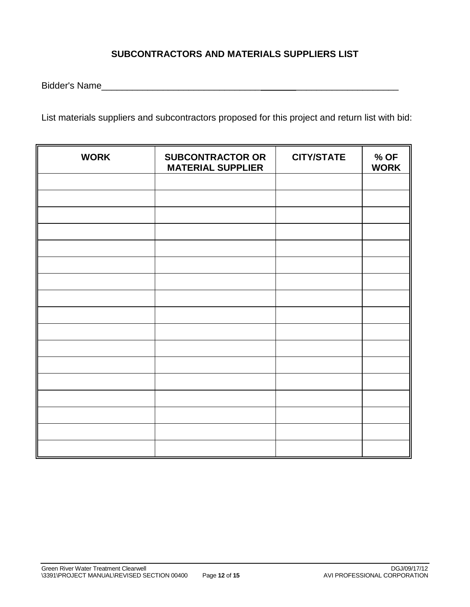# **SUBCONTRACTORS AND MATERIALS SUPPLIERS LIST**

Bidder's Name\_\_\_\_\_\_\_\_\_\_\_\_\_\_\_\_\_\_\_\_\_\_\_\_\_\_\_\_\_\_\_ \_\_\_\_\_\_\_\_\_\_\_\_\_\_\_\_\_\_\_\_

List materials suppliers and subcontractors proposed for this project and return list with bid:

| <b>WORK</b> | <b>SUBCONTRACTOR OR</b><br><b>MATERIAL SUPPLIER</b> | <b>CITY/STATE</b> | $%$ OF<br><b>WORK</b> |
|-------------|-----------------------------------------------------|-------------------|-----------------------|
|             |                                                     |                   |                       |
|             |                                                     |                   |                       |
|             |                                                     |                   |                       |
|             |                                                     |                   |                       |
|             |                                                     |                   |                       |
|             |                                                     |                   |                       |
|             |                                                     |                   |                       |
|             |                                                     |                   |                       |
|             |                                                     |                   |                       |
|             |                                                     |                   |                       |
|             |                                                     |                   |                       |
|             |                                                     |                   |                       |
|             |                                                     |                   |                       |
|             |                                                     |                   |                       |
|             |                                                     |                   |                       |
|             |                                                     |                   |                       |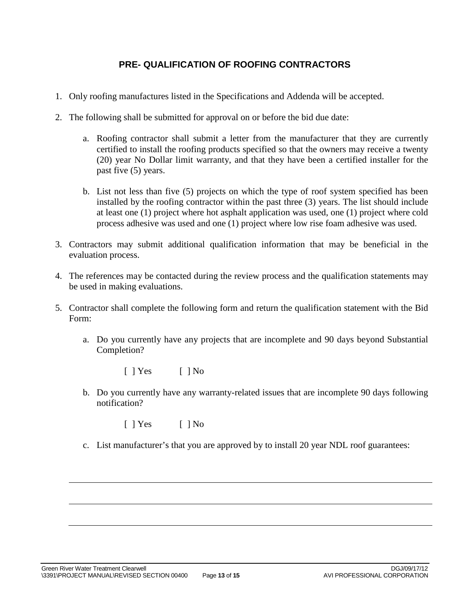# **PRE- QUALIFICATION OF ROOFING CONTRACTORS**

- 1. Only roofing manufactures listed in the Specifications and Addenda will be accepted.
- 2. The following shall be submitted for approval on or before the bid due date:
	- a. Roofing contractor shall submit a letter from the manufacturer that they are currently certified to install the roofing products specified so that the owners may receive a twenty (20) year No Dollar limit warranty, and that they have been a certified installer for the past five (5) years.
	- b. List not less than five (5) projects on which the type of roof system specified has been installed by the roofing contractor within the past three (3) years. The list should include at least one (1) project where hot asphalt application was used, one (1) project where cold process adhesive was used and one (1) project where low rise foam adhesive was used.
- 3. Contractors may submit additional qualification information that may be beneficial in the evaluation process.
- 4. The references may be contacted during the review process and the qualification statements may be used in making evaluations.
- 5. Contractor shall complete the following form and return the qualification statement with the Bid Form:
	- a. Do you currently have any projects that are incomplete and 90 days beyond Substantial Completion?
		- $[ ]$   $Yes$   $]$   $No$
	- b. Do you currently have any warranty-related issues that are incomplete 90 days following notification?
		- $[ ]$   $Yes$   $[ ]$   $No$
	- c. List manufacturer's that you are approved by to install 20 year NDL roof guarantees: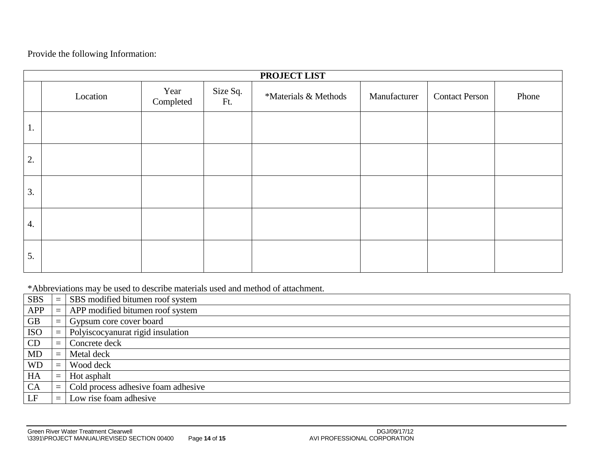Provide the following Information:

|                  | PROJECT LIST |                   |                 |                      |              |                       |       |
|------------------|--------------|-------------------|-----------------|----------------------|--------------|-----------------------|-------|
|                  | Location     | Year<br>Completed | Size Sq.<br>Ft. | *Materials & Methods | Manufacturer | <b>Contact Person</b> | Phone |
| $\perp$ .        |              |                   |                 |                      |              |                       |       |
| 2.               |              |                   |                 |                      |              |                       |       |
| 3.               |              |                   |                 |                      |              |                       |       |
| $\overline{4}$ . |              |                   |                 |                      |              |                       |       |
| 5.               |              |                   |                 |                      |              |                       |       |

\*Abbreviations may be used to describe materials used and method of attachment.

| <b>SBS</b> |          | SBS modified bitumen roof system    |
|------------|----------|-------------------------------------|
| APP        |          | APP modified bitumen roof system    |
| <b>GB</b>  | $\equiv$ | Gypsum core cover board             |
| <b>ISO</b> | $\equiv$ | Polyiscocyanurat rigid insulation   |
| CD         | $\equiv$ | Concrete deck                       |
| <b>MD</b>  | $\equiv$ | Metal deck                          |
| <b>WD</b>  | $\equiv$ | Wood deck                           |
| HA         | $\equiv$ | Hot asphalt                         |
| <b>CA</b>  | $\equiv$ | Cold process adhesive foam adhesive |
| LF         |          | Low rise foam adhesive              |